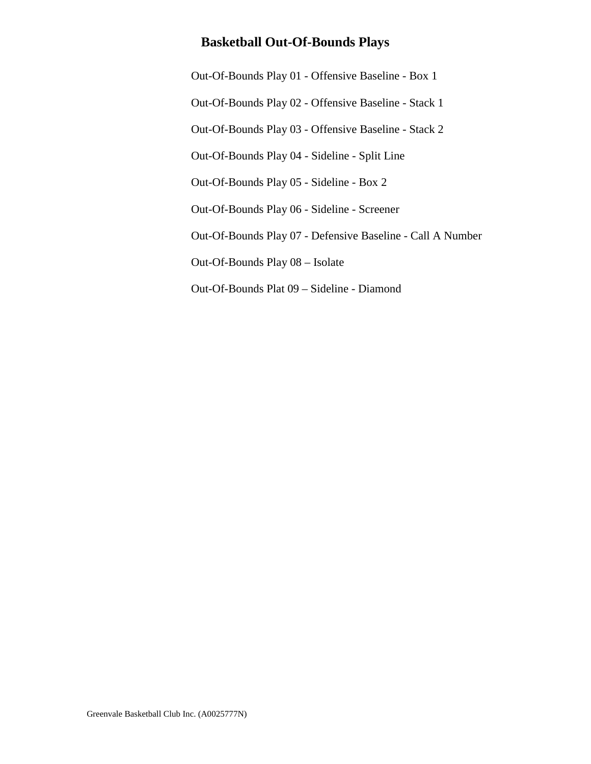[Out-Of-Bounds Play 01 - Offensive Baseline - Box 1](#page-1-0) [Out-Of-Bounds Play 02 - Offensive Baseline - Stack 1](#page-2-0) [Out-Of-Bounds Play 03 - Offensive Baseline - Stack 2](#page-3-0) [Out-Of-Bounds Play 04 - Sideline - Split Line](#page-4-0) [Out-Of-Bounds Play 05 - Sideline - Box 2](#page-5-0) [Out-Of-Bounds Play 06 - Sideline - Screener](#page-6-0) [Out-Of-Bounds Play 07 - Defensive Baseline - Call A Number](#page-7-0) [Out-Of-Bounds Play 08 – Isolate](#page-8-0) [Out-Of-Bounds Plat 09 – Sideline - Diamond](#page-9-0)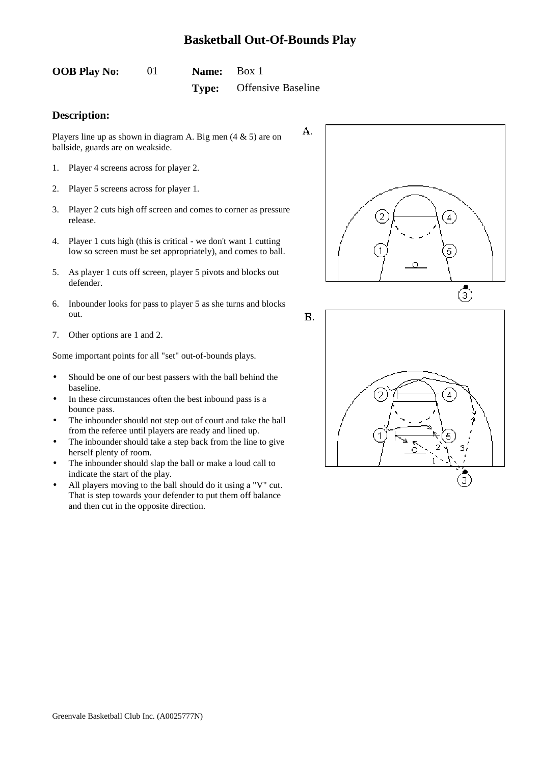<span id="page-1-0"></span>

| <b>OOB Play No:</b> | <b>Name:</b> Box 1 |                                 |
|---------------------|--------------------|---------------------------------|
|                     |                    | <b>Type:</b> Offensive Baseline |

#### **Description:**

Players line up as shown in diagram A. Big men  $(4 \& 5)$  are on ballside, guards are on weakside.

- 1. Player 4 screens across for player 2.
- 2. Player 5 screens across for player 1.
- 3. Player 2 cuts high off screen and comes to corner as pressure release.
- 4. Player 1 cuts high (this is critical we don't want 1 cutting low so screen must be set appropriately), and comes to ball.
- 5. As player 1 cuts off screen, player 5 pivots and blocks out defender.
- 6. Inbounder looks for pass to player 5 as she turns and blocks out.
- 7. Other options are 1 and 2.

Some important points for all "set" out-of-bounds plays.

- Should be one of our best passers with the ball behind the baseline.
- In these circumstances often the best inbound pass is a bounce pass.
- The inbounder should not step out of court and take the ball from the referee until players are ready and lined up.
- The inbounder should take a step back from the line to give herself plenty of room.
- The inbounder should slap the ball or make a loud call to indicate the start of the play.
- All players moving to the ball should do it using a "V" cut. That is step towards your defender to put them off balance and then cut in the opposite direction.



**B.** 

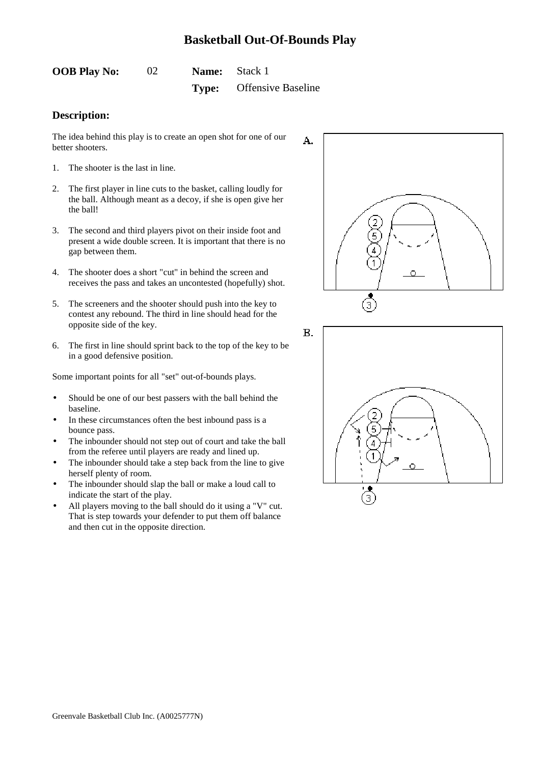<span id="page-2-0"></span>

| <b>OOB Play No:</b> |       | <b>Name:</b> Stack 1      |
|---------------------|-------|---------------------------|
|                     | Type: | <b>Offensive Baseline</b> |

#### **Description:**

The idea behind this play is to create an open shot for one of our better shooters.

- 1. The shooter is the last in line.
- 2. The first player in line cuts to the basket, calling loudly for the ball. Although meant as a decoy, if she is open give her the ball!
- 3. The second and third players pivot on their inside foot and present a wide double screen. It is important that there is no gap between them.
- 4. The shooter does a short "cut" in behind the screen and receives the pass and takes an uncontested (hopefully) shot.
- 5. The screeners and the shooter should push into the key to contest any rebound. The third in line should head for the opposite side of the key.
- 6. The first in line should sprint back to the top of the key to be in a good defensive position.

- Should be one of our best passers with the ball behind the baseline.
- In these circumstances often the best inbound pass is a bounce pass.
- The inbounder should not step out of court and take the ball from the referee until players are ready and lined up.
- The inbounder should take a step back from the line to give herself plenty of room.
- The inbounder should slap the ball or make a loud call to indicate the start of the play.
- All players moving to the ball should do it using a "V" cut. That is step towards your defender to put them off balance and then cut in the opposite direction.



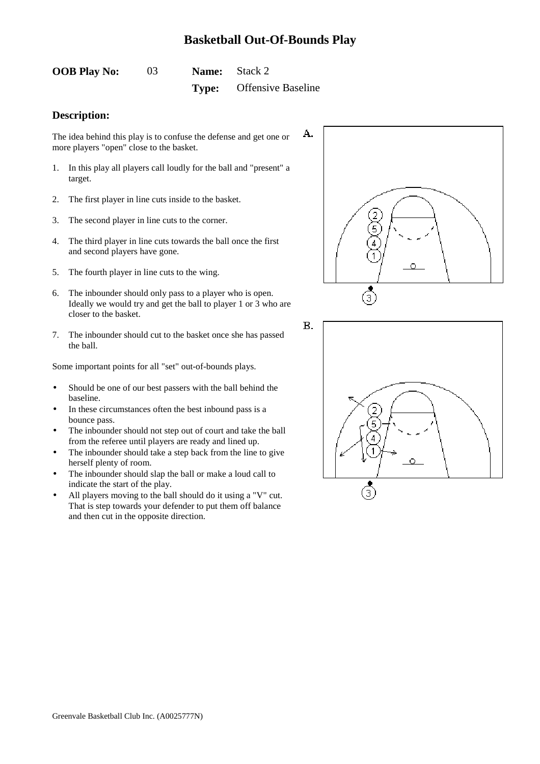<span id="page-3-0"></span>

| <b>OOB Play No:</b> | 03 | <b>Name:</b> Stack 2 |                                 |  |
|---------------------|----|----------------------|---------------------------------|--|
|                     |    |                      | <b>Type:</b> Offensive Baseline |  |

#### **Description:**

The idea behind this play is to confuse the defense and get one or more players "open" close to the basket.

- 1. In this play all players call loudly for the ball and "present" a target.
- 2. The first player in line cuts inside to the basket.
- 3. The second player in line cuts to the corner.
- 4. The third player in line cuts towards the ball once the first and second players have gone.
- 5. The fourth player in line cuts to the wing.
- 6. The inbounder should only pass to a player who is open. Ideally we would try and get the ball to player 1 or 3 who are closer to the basket.
- 7. The inbounder should cut to the basket once she has passed the ball.

- Should be one of our best passers with the ball behind the baseline.
- In these circumstances often the best inbound pass is a bounce pass.
- The inbounder should not step out of court and take the ball from the referee until players are ready and lined up.
- The inbounder should take a step back from the line to give herself plenty of room.
- The inbounder should slap the ball or make a loud call to indicate the start of the play.
- All players moving to the ball should do it using a "V" cut. That is step towards your defender to put them off balance and then cut in the opposite direction.



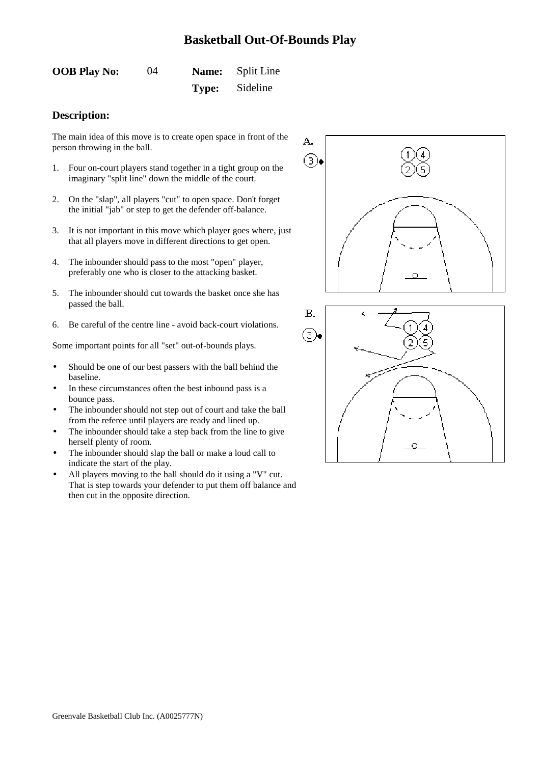<span id="page-4-0"></span>

| <b>OOB Play No:</b> | 04 | <b>Name:</b> Split Line |
|---------------------|----|-------------------------|
|                     |    | <b>Type:</b> Sideline   |

#### **Description:**

The main idea of this move is to create open space in front of the person throwing in the ball.

- 1. Four on-court players stand together in a tight group on the imaginary "split line" down the middle of the court.
- 2. On the "slap", all players "cut" to open space. Don't forget the initial "jab" or step to get the defender off-balance.
- 3. It is not important in this move which player goes where, just that all players move in different directions to get open.
- 4. The inbounder should pass to the most "open" player, preferably one who is closer to the attacking basket.
- 5. The inbounder should cut towards the basket once she has passed the ball.
- 6. Be careful of the centre line avoid back-court violations.

- Should be one of our best passers with the ball behind the baseline.
- In these circumstances often the best inbound pass is a bounce pass.
- The inbounder should not step out of court and take the ball from the referee until players are ready and lined up.
- The inbounder should take a step back from the line to give herself plenty of room.
- The inbounder should slap the ball or make a loud call to indicate the start of the play.
- All players moving to the ball should do it using a "V" cut. That is step towards your defender to put them off balance and then cut in the opposite direction.

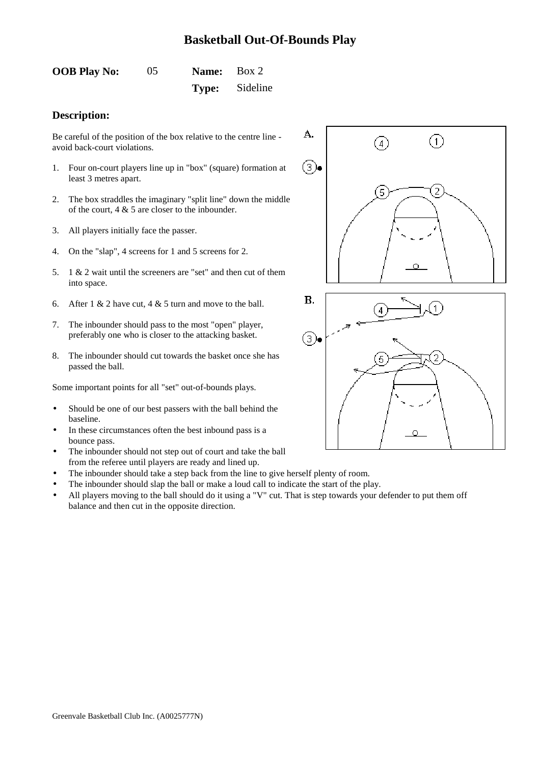<span id="page-5-0"></span>

| <b>OOB Play No:</b> | 05 | Name: Box 2 |                       |
|---------------------|----|-------------|-----------------------|
|                     |    |             | <b>Type:</b> Sideline |

#### **Description:**

Be careful of the position of the box relative to the centre line avoid back-court violations.

- 1. Four on-court players line up in "box" (square) formation at least 3 metres apart.
- 2. The box straddles the imaginary "split line" down the middle of the court, 4 & 5 are closer to the inbounder.
- 3. All players initially face the passer.
- 4. On the "slap", 4 screens for 1 and 5 screens for 2.
- 5. 1 & 2 wait until the screeners are "set" and then cut of them into space.
- 6. After 1 & 2 have cut, 4 & 5 turn and move to the ball.
- 7. The inbounder should pass to the most "open" player, preferably one who is closer to the attacking basket.
- 8. The inbounder should cut towards the basket once she has passed the ball.

- Should be one of our best passers with the ball behind the baseline.
- In these circumstances often the best inbound pass is a bounce pass.
- The inbounder should not step out of court and take the ball from the referee until players are ready and lined up.
- The inbounder should take a step back from the line to give herself plenty of room.
- The inbounder should slap the ball or make a loud call to indicate the start of the play.
- All players moving to the ball should do it using a "V" cut. That is step towards your defender to put them off balance and then cut in the opposite direction.



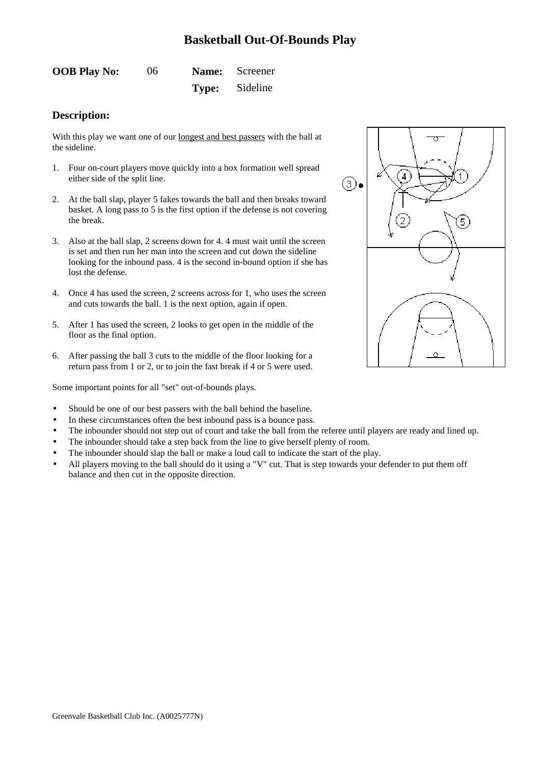<span id="page-6-0"></span>

| <b>OOB Play No:</b> | 06 | Name: Screener        |
|---------------------|----|-----------------------|
|                     |    | <b>Type:</b> Sideline |

#### **Description:**

With this play we want one of our longest and best passers with the ball at the sideline.

- 1. Four on-court players move quickly into a box formation well spread either side of the split line.
- 2. At the ball slap, player 5 fakes towards the ball and then breaks toward basket. A long pass to 5 is the first option if the defense is not covering the break.
- 3. Also at the ball slap, 2 screens down for 4. 4 must wait until the screen is set and then run her man into the screen and cut down the sideline looking for the inbound pass. 4 is the second in-bound option if she has lost the defense.
- 4. Once 4 has used the screen, 2 screens across for 1, who uses the screen and cuts towards the ball. 1 is the next option, again if open.
- 5. After 1 has used the screen, 2 looks to get open in the middle of the floor as the final option.
- 6. After passing the ball 3 cuts to the middle of the floor looking for a return pass from 1 or 2, or to join the fast break if 4 or 5 were used.

- Should be one of our best passers with the ball behind the baseline.
- In these circumstances often the best inbound pass is a bounce pass.
- The inbounder should not step out of court and take the ball from the referee until players are ready and lined up.
- The inbounder should take a step back from the line to give herself plenty of room.
- The inbounder should slap the ball or make a loud call to indicate the start of the play.
- All players moving to the ball should do it using a "V" cut. That is step towards your defender to put them off balance and then cut in the opposite direction.

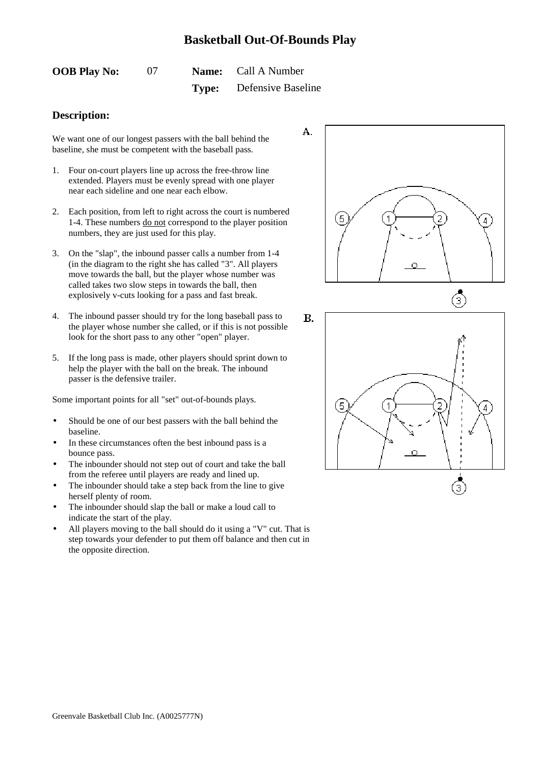<span id="page-7-0"></span>

| <b>OOB Play No:</b> |  | <b>Name:</b> Call A Number      |
|---------------------|--|---------------------------------|
|                     |  | <b>Type:</b> Defensive Baseline |

#### **Description:**

We want one of our longest passers with the ball behind the baseline, she must be competent with the baseball pass.

- 1. Four on-court players line up across the free-throw line extended. Players must be evenly spread with one player near each sideline and one near each elbow.
- 2. Each position, from left to right across the court is numbered 1-4. These numbers do not correspond to the player position numbers, they are just used for this play.
- 3. On the "slap", the inbound passer calls a number from 1-4 (in the diagram to the right she has called "3". All players move towards the ball, but the player whose number was called takes two slow steps in towards the ball, then explosively v-cuts looking for a pass and fast break.
- 4. The inbound passer should try for the long baseball pass to the player whose number she called, or if this is not possible look for the short pass to any other "open" player.
- 5. If the long pass is made, other players should sprint down to help the player with the ball on the break. The inbound passer is the defensive trailer.

- Should be one of our best passers with the ball behind the baseline.
- In these circumstances often the best inbound pass is a bounce pass.
- The inbounder should not step out of court and take the ball from the referee until players are ready and lined up.
- The inbounder should take a step back from the line to give herself plenty of room.
- The inbounder should slap the ball or make a loud call to indicate the start of the play.
- All players moving to the ball should do it using a "V" cut. That is step towards your defender to put them off balance and then cut in the opposite direction.



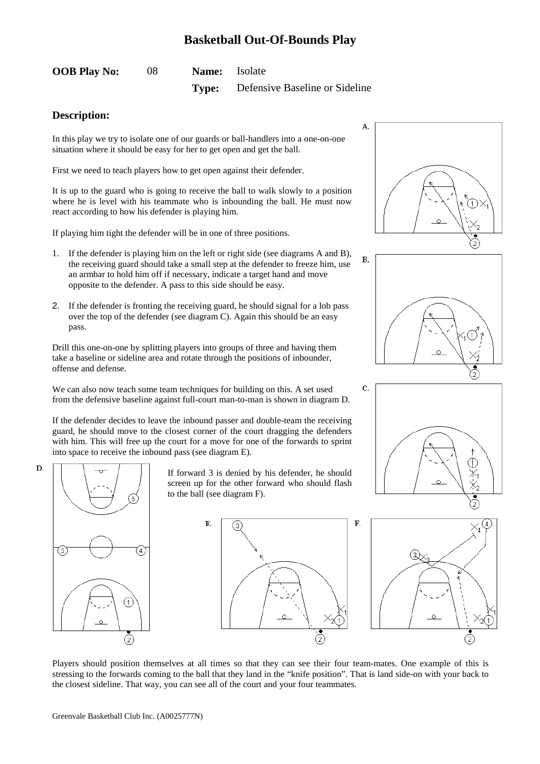<span id="page-8-0"></span>

| <b>OOB Play No:</b> | <b>Name:</b> Isolate |                                             |
|---------------------|----------------------|---------------------------------------------|
|                     |                      | <b>Type:</b> Defensive Baseline or Sideline |

#### **Description:**

In this play we try to isolate one of our guards or ball-handlers into a one-on-one situation where it should be easy for her to get open and get the ball.

First we need to teach players how to get open against their defender.

It is up to the guard who is going to receive the ball to walk slowly to a position where he is level with his teammate who is inbounding the ball. He must now react according to how his defender is playing him.

If playing him tight the defender will be in one of three positions.

- 1. If the defender is playing him on the left or right side (see diagrams A and B), the receiving guard should take a small step at the defender to freeze him, use an armbar to hold him off if necessary, indicate a target hand and move opposite to the defender. A pass to this side should be easy.
- 2. If the defender is fronting the receiving guard, he should signal for a lob pass over the top of the defender (see diagram C). Again this should be an easy pass.

Drill this one-on-one by splitting players into groups of three and having them take a baseline or sideline area and rotate through the positions of inbounder, offense and defense.

We can also now teach some team techniques for building on this. A set used from the defensive baseline against full-court man-to-man is shown in diagram D.

If the defender decides to leave the inbound passer and double-team the receiving guard, he should move to the closest corner of the court dragging the defenders with him. This will free up the court for a move for one of the forwards to sprint into space to receive the inbound pass (see diagram E).



If forward 3 is denied by his defender, he should screen up for the other forward who should flash to the ball (see diagram F).









Players should position themselves at all times so that they can see their four team-mates. One example of this is stressing to the forwards coming to the ball that they land in the "knife position". That is land side-on with your back to the closest sideline. That way, you can see all of the court and your four teammates.